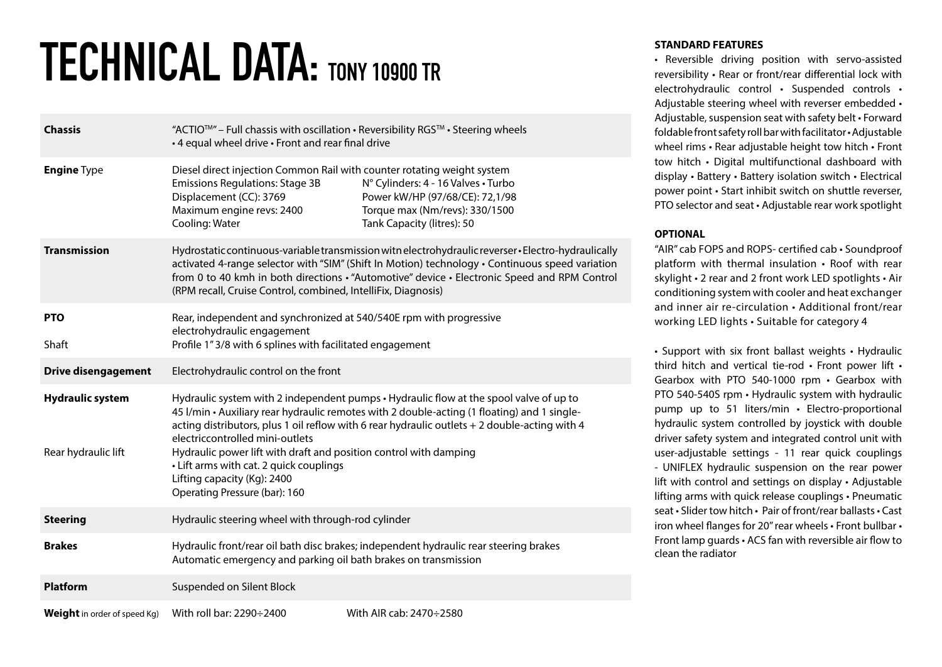## TECHNICAL DATA: TONY 10900 TR

| <b>Chassis</b>                                 | "ACTIO <sup>™</sup> - Full chassis with oscillation · Reversibility RGS <sup>™</sup> · Steering wheels<br>• 4 equal wheel drive • Front and rear final drive                                                                                                                                                                                                                                                                                                                                              |                                                                                                                                        |
|------------------------------------------------|-----------------------------------------------------------------------------------------------------------------------------------------------------------------------------------------------------------------------------------------------------------------------------------------------------------------------------------------------------------------------------------------------------------------------------------------------------------------------------------------------------------|----------------------------------------------------------------------------------------------------------------------------------------|
| <b>Engine Type</b>                             | Diesel direct injection Common Rail with counter rotating weight system<br><b>Emissions Regulations: Stage 3B</b><br>Displacement (CC): 3769<br>Maximum engine revs: 2400<br>Cooling: Water                                                                                                                                                                                                                                                                                                               | N° Cylinders: 4 - 16 Valves • Turbo<br>Power kW/HP (97/68/CE): 72,1/98<br>Torque max (Nm/revs): 330/1500<br>Tank Capacity (litres): 50 |
| <b>Transmission</b>                            | Hydrostatic continuous-variable transmission witn electrohydraulic reverser · Electro-hydraulically<br>activated 4-range selector with "SIM" (Shift In Motion) technology · Continuous speed variation<br>from 0 to 40 kmh in both directions · "Automotive" device · Electronic Speed and RPM Control<br>(RPM recall, Cruise Control, combined, IntelliFix, Diagnosis)                                                                                                                                   |                                                                                                                                        |
| <b>PTO</b>                                     | Rear, independent and synchronized at 540/540E rpm with progressive                                                                                                                                                                                                                                                                                                                                                                                                                                       |                                                                                                                                        |
| Shaft                                          | electrohydraulic engagement<br>Profile 1"3/8 with 6 splines with facilitated engagement                                                                                                                                                                                                                                                                                                                                                                                                                   |                                                                                                                                        |
| <b>Drive disengagement</b>                     | Electrohydraulic control on the front                                                                                                                                                                                                                                                                                                                                                                                                                                                                     |                                                                                                                                        |
| <b>Hydraulic system</b><br>Rear hydraulic lift | Hydraulic system with 2 independent pumps · Hydraulic flow at the spool valve of up to<br>45 I/min · Auxiliary rear hydraulic remotes with 2 double-acting (1 floating) and 1 single-<br>acting distributors, plus 1 oil reflow with 6 rear hydraulic outlets + 2 double-acting with 4<br>electriccontrolled mini-outlets<br>Hydraulic power lift with draft and position control with damping<br>• Lift arms with cat. 2 quick couplings<br>Lifting capacity (Kg): 2400<br>Operating Pressure (bar): 160 |                                                                                                                                        |
| <b>Steering</b>                                | Hydraulic steering wheel with through-rod cylinder                                                                                                                                                                                                                                                                                                                                                                                                                                                        |                                                                                                                                        |
| <b>Brakes</b>                                  | Hydraulic front/rear oil bath disc brakes; independent hydraulic rear steering brakes<br>Automatic emergency and parking oil bath brakes on transmission                                                                                                                                                                                                                                                                                                                                                  |                                                                                                                                        |
| <b>Platform</b>                                | Suspended on Silent Block                                                                                                                                                                                                                                                                                                                                                                                                                                                                                 |                                                                                                                                        |
| <b>Weight</b> in order of speed Kg)            | With roll bar: 2290÷2400                                                                                                                                                                                                                                                                                                                                                                                                                                                                                  | With AIR cab: 2470÷2580                                                                                                                |

## **STANDARD FEATURES**

• Reversible driving position with servo-assisted reversibility • Rear or front/rear differential lock with electrohydraulic control • Suspended controls • Adjustable steering wheel with reverser embedded • Adjustable, suspension seat with safety belt • Forward foldable front safety roll bar with facilitator • Adjustable wheel rims • Rear adjustable height tow hitch • Front tow hitch • Digital multifunctional dashboard with display • Battery • Battery isolation switch • Electrical power point • Start inhibit switch on shuttle reverser, PTO selector and seat • Adjustable rear work spotlight

## **OPTIONAL**

"AIR" cab FOPS and ROPS- certified cab • Soundproof platform with thermal insulation • Roof with rear skylight • 2 rear and 2 front work LED spotlights • Air conditioning system with cooler and heat exchanger and inner air re-circulation • Additional front/rear working LED lights • Suitable for category 4

• Support with six front ballast weights • Hydraulic third hitch and vertical tie-rod • Front power lift • Gearbox with PTO 540-1000 rpm • Gearbox with PTO 540-540S rpm • Hydraulic system with hydraulic pump up to 51 liters/min • Electro-proportional hydraulic system controlled by joystick with double driver safety system and integrated control unit with user-adjustable settings - 11 rear quick couplings - UNIFLEX hydraulic suspension on the rear power lift with control and settings on display • Adjustable lifting arms with quick release couplings • Pneumatic seat • Slider tow hitch • Pair of front/rear ballasts • Cast iron wheel flanges for 20" rear wheels • Front bullbar • Front lamp guards • ACS fan with reversible air flow to clean the radiator